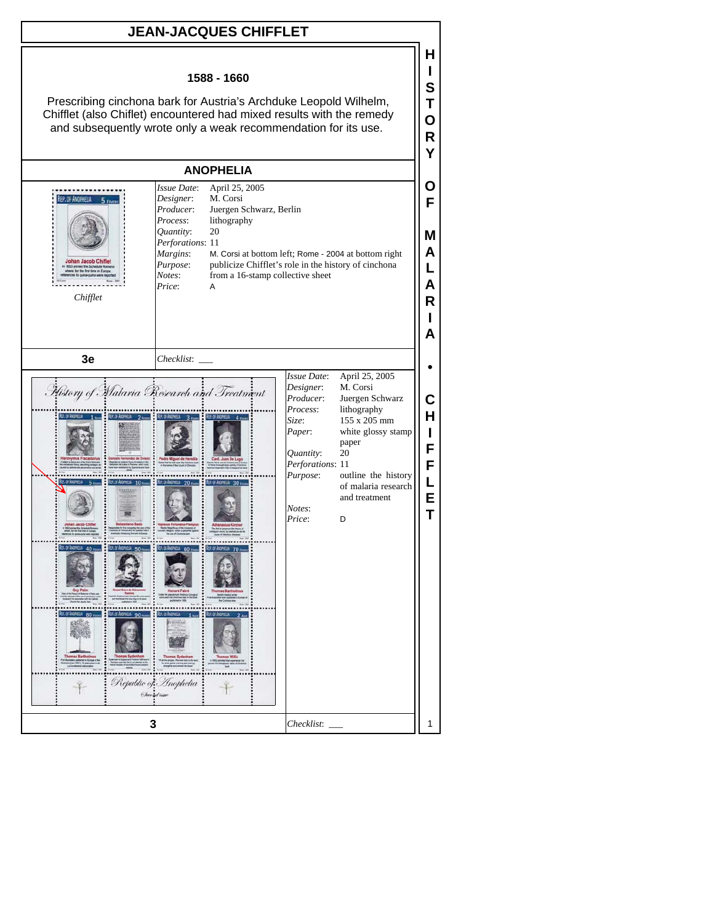